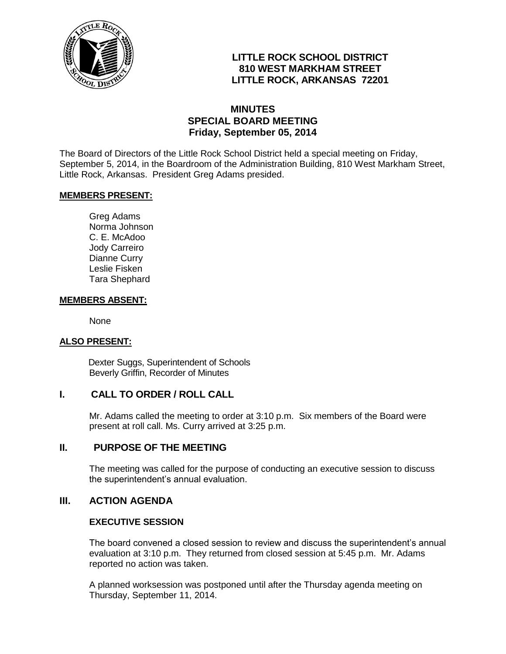

## **LITTLE ROCK SCHOOL DISTRICT 810 WEST MARKHAM STREET LITTLE ROCK, ARKANSAS 72201**

### **MINUTES SPECIAL BOARD MEETING Friday, September 05, 2014**

The Board of Directors of the Little Rock School District held a special meeting on Friday, September 5, 2014, in the Boardroom of the Administration Building, 810 West Markham Street, Little Rock, Arkansas. President Greg Adams presided.

#### **MEMBERS PRESENT:**

Greg Adams Norma Johnson C. E. McAdoo Jody Carreiro Dianne Curry Leslie Fisken Tara Shephard

### **MEMBERS ABSENT:**

None

### **ALSO PRESENT:**

 Dexter Suggs, Superintendent of Schools Beverly Griffin, Recorder of Minutes

### **I. CALL TO ORDER / ROLL CALL**

Mr. Adams called the meeting to order at 3:10 p.m. Six members of the Board were present at roll call. Ms. Curry arrived at 3:25 p.m.

### **II. PURPOSE OF THE MEETING**

The meeting was called for the purpose of conducting an executive session to discuss the superintendent's annual evaluation.

### **III. ACTION AGENDA**

### **EXECUTIVE SESSION**

The board convened a closed session to review and discuss the superintendent's annual evaluation at 3:10 p.m. They returned from closed session at 5:45 p.m. Mr. Adams reported no action was taken.

A planned worksession was postponed until after the Thursday agenda meeting on Thursday, September 11, 2014.